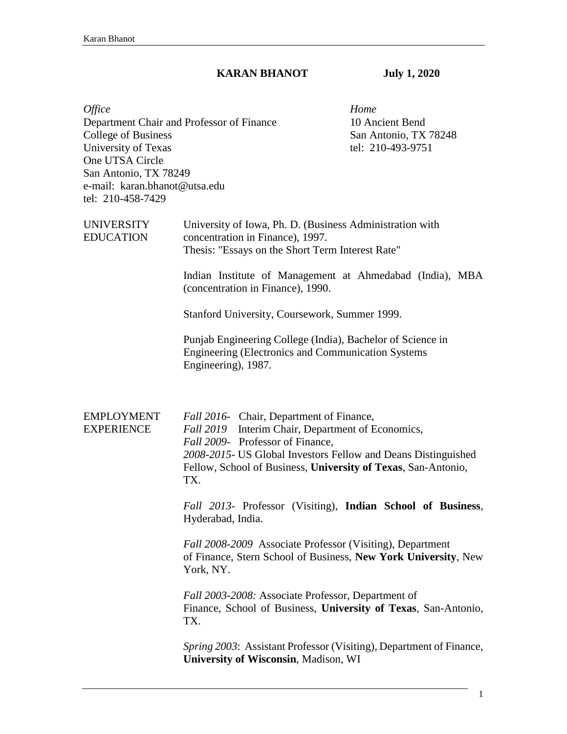## **KARAN BHANOT July 1, 2020**

| <i><b>Office</b></i><br><b>College of Business</b><br>University of Texas<br>One UTSA Circle<br>San Antonio, TX 78249<br>e-mail: karan.bhanot@utsa.edu<br>tel: 210-458-7429 | Department Chair and Professor of Finance                                                                                                                                                                                                                                                                                                                                                                                                                                                                                                                                                                                                                                                                                                                | Home<br>10 Ancient Bend<br>San Antonio, TX 78248<br>tel: 210-493-9751 |
|-----------------------------------------------------------------------------------------------------------------------------------------------------------------------------|----------------------------------------------------------------------------------------------------------------------------------------------------------------------------------------------------------------------------------------------------------------------------------------------------------------------------------------------------------------------------------------------------------------------------------------------------------------------------------------------------------------------------------------------------------------------------------------------------------------------------------------------------------------------------------------------------------------------------------------------------------|-----------------------------------------------------------------------|
| <b>UNIVERSITY</b><br><b>EDUCATION</b>                                                                                                                                       | University of Iowa, Ph. D. (Business Administration with<br>concentration in Finance), 1997.<br>Thesis: "Essays on the Short Term Interest Rate"<br>Indian Institute of Management at Ahmedabad (India), MBA<br>(concentration in Finance), 1990.<br>Stanford University, Coursework, Summer 1999.<br>Punjab Engineering College (India), Bachelor of Science in<br>Engineering (Electronics and Communication Systems)<br>Engineering), 1987.                                                                                                                                                                                                                                                                                                           |                                                                       |
| <b>EMPLOYMENT</b><br><b>EXPERIENCE</b>                                                                                                                                      | Fall 2016- Chair, Department of Finance,<br>Fall 2019 Interim Chair, Department of Economics,<br>Fall 2009- Professor of Finance,<br>2008-2015- US Global Investors Fellow and Deans Distinguished<br>Fellow, School of Business, University of Texas, San-Antonio,<br>TX.<br>Fall 2013- Professor (Visiting), Indian School of Business,<br>Hyderabad, India.<br>Fall 2008-2009 Associate Professor (Visiting), Department<br>of Finance, Stern School of Business, New York University, New<br>York, NY.<br>Fall 2003-2008: Associate Professor, Department of<br>Finance, School of Business, University of Texas, San-Antonio,<br>TX.<br>Spring 2003: Assistant Professor (Visiting), Department of Finance,<br>University of Wisconsin, Madison, WI |                                                                       |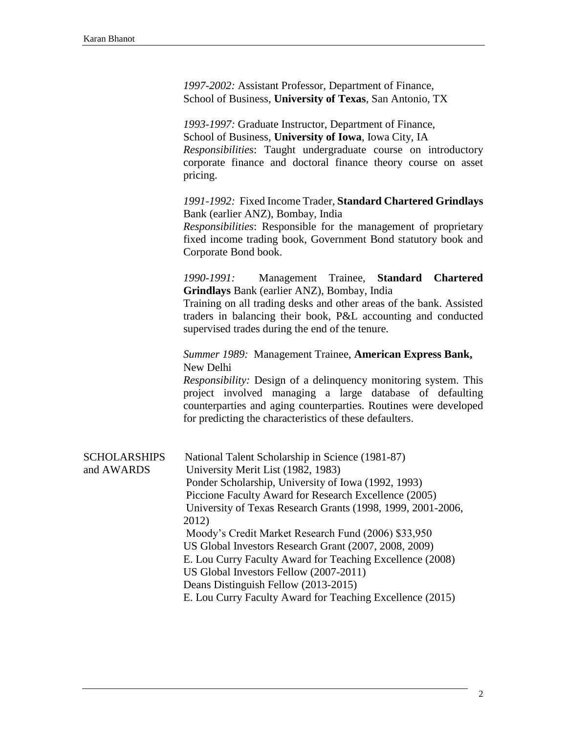| 1997-2002: Assistant Professor, Department of Finance,   |
|----------------------------------------------------------|
| School of Business, University of Texas, San Antonio, TX |

*1993-1997:* Graduate Instructor, Department of Finance, School of Business, **University of Iowa**, Iowa City, IA *Responsibilities*: Taught undergraduate course on introductory corporate finance and doctoral finance theory course on asset pricing.

*1991-1992:* Fixed Income Trader, **Standard Chartered Grindlays** Bank (earlier ANZ), Bombay, India

*Responsibilities*: Responsible for the management of proprietary fixed income trading book, Government Bond statutory book and Corporate Bond book.

*1990-1991:* Management Trainee, **Standard Chartered Grindlays** Bank (earlier ANZ), Bombay, India

Training on all trading desks and other areas of the bank. Assisted traders in balancing their book, P&L accounting and conducted supervised trades during the end of the tenure.

*Summer 1989:* Management Trainee, **American Express Bank,** New Delhi

*Responsibility:* Design of a delinquency monitoring system. This project involved managing a large database of defaulting counterparties and aging counterparties. Routines were developed for predicting the characteristics of these defaulters.

| <b>SCHOLARSHIPS</b> | National Talent Scholarship in Science (1981-87)            |
|---------------------|-------------------------------------------------------------|
| and AWARDS          | University Merit List (1982, 1983)                          |
|                     | Ponder Scholarship, University of Iowa (1992, 1993)         |
|                     | Piccione Faculty Award for Research Excellence (2005)       |
|                     | University of Texas Research Grants (1998, 1999, 2001-2006, |
|                     | 2012)                                                       |
|                     | Moody's Credit Market Research Fund (2006) \$33,950         |
|                     | US Global Investors Research Grant (2007, 2008, 2009)       |
|                     | E. Lou Curry Faculty Award for Teaching Excellence (2008)   |
|                     | US Global Investors Fellow (2007-2011)                      |
|                     | Deans Distinguish Fellow (2013-2015)                        |
|                     | E. Lou Curry Faculty Award for Teaching Excellence (2015)   |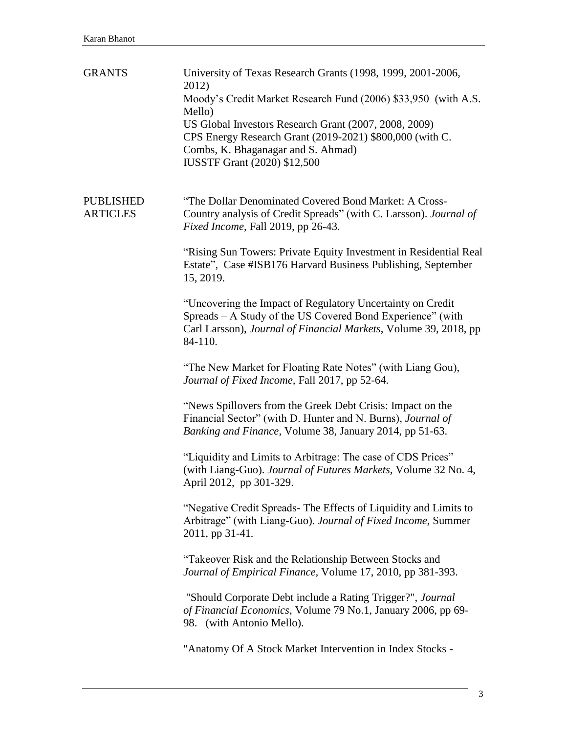| <b>GRANTS</b>                       | University of Texas Research Grants (1998, 1999, 2001-2006,<br>2012)<br>Moody's Credit Market Research Fund (2006) \$33,950 (with A.S.<br>Mello)<br>US Global Investors Research Grant (2007, 2008, 2009)<br>CPS Energy Research Grant (2019-2021) \$800,000 (with C.<br>Combs, K. Bhaganagar and S. Ahmad)<br><b>IUSSTF Grant (2020) \$12,500</b> |
|-------------------------------------|----------------------------------------------------------------------------------------------------------------------------------------------------------------------------------------------------------------------------------------------------------------------------------------------------------------------------------------------------|
| <b>PUBLISHED</b><br><b>ARTICLES</b> | "The Dollar Denominated Covered Bond Market: A Cross-<br>Country analysis of Credit Spreads" (with C. Larsson). Journal of<br>Fixed Income, Fall 2019, pp 26-43.                                                                                                                                                                                   |
|                                     | "Rising Sun Towers: Private Equity Investment in Residential Real<br>Estate", Case #ISB176 Harvard Business Publishing, September<br>15, 2019.                                                                                                                                                                                                     |
|                                     | "Uncovering the Impact of Regulatory Uncertainty on Credit"<br>Spreads – A Study of the US Covered Bond Experience" (with<br>Carl Larsson), Journal of Financial Markets, Volume 39, 2018, pp<br>84-110.                                                                                                                                           |
|                                     | "The New Market for Floating Rate Notes" (with Liang Gou),<br>Journal of Fixed Income, Fall 2017, pp 52-64.                                                                                                                                                                                                                                        |
|                                     | "News Spillovers from the Greek Debt Crisis: Impact on the<br>Financial Sector" (with D. Hunter and N. Burns), Journal of<br>Banking and Finance, Volume 38, January 2014, pp 51-63.                                                                                                                                                               |
|                                     | "Liquidity and Limits to Arbitrage: The case of CDS Prices"<br>(with Liang-Guo). Journal of Futures Markets, Volume 32 No. 4,<br>April 2012, pp 301-329.                                                                                                                                                                                           |
|                                     | "Negative Credit Spreads-The Effects of Liquidity and Limits to<br>Arbitrage" (with Liang-Guo). Journal of Fixed Income, Summer<br>2011, pp 31-41.                                                                                                                                                                                                 |
|                                     | "Takeover Risk and the Relationship Between Stocks and<br>Journal of Empirical Finance, Volume 17, 2010, pp 381-393.                                                                                                                                                                                                                               |
|                                     | "Should Corporate Debt include a Rating Trigger?", Journal<br>of Financial Economics, Volume 79 No.1, January 2006, pp 69-<br>98. (with Antonio Mello).                                                                                                                                                                                            |
|                                     | "Anatomy Of A Stock Market Intervention in Index Stocks -                                                                                                                                                                                                                                                                                          |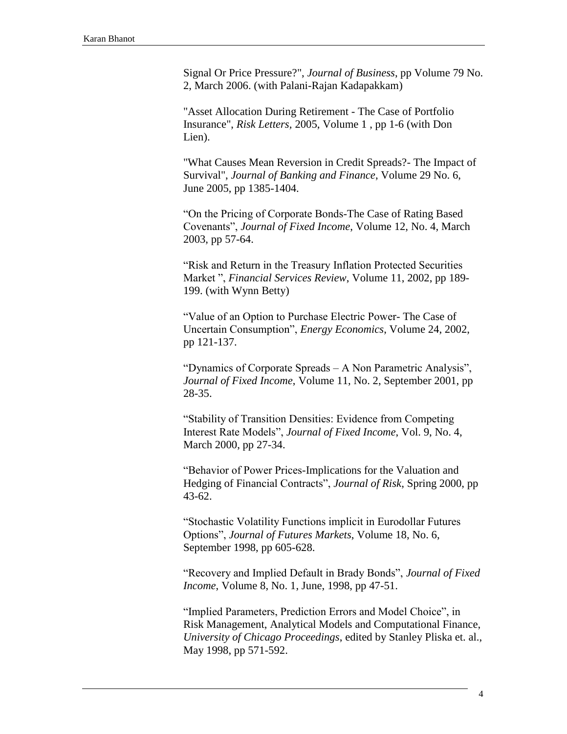Signal Or Price Pressure?", *Journal of Business*, pp Volume 79 No. 2, March 2006. (with Palani-Rajan Kadapakkam)

"Asset Allocation During Retirement - The Case of Portfolio Insurance", *Risk Letters,* 2005, Volume 1 , pp 1-6 (with Don Lien).

"What Causes Mean Reversion in Credit Spreads?- The Impact of Survival", *Journal of Banking and Finance*, Volume 29 No. 6, June 2005, pp 1385-1404.

"On the Pricing of Corporate Bonds-The Case of Rating Based Covenants", *Journal of Fixed Income*, Volume 12, No. 4, March 2003, pp 57-64.

"Risk and Return in the Treasury Inflation Protected Securities Market ", *Financial Services Review*, Volume 11, 2002, pp 189- 199. (with Wynn Betty)

"Value of an Option to Purchase Electric Power- The Case of Uncertain Consumption", *Energy Economics*, Volume 24, 2002, pp 121-137.

"Dynamics of Corporate Spreads – A Non Parametric Analysis", *Journal of Fixed Income*, Volume 11, No. 2, September 2001, pp 28-35.

"Stability of Transition Densities: Evidence from Competing Interest Rate Models", *Journal of Fixed Income*, Vol. 9, No. 4, March 2000, pp 27-34.

"Behavior of Power Prices-Implications for the Valuation and Hedging of Financial Contracts", *Journal of Risk*, Spring 2000, pp 43-62.

"Stochastic Volatility Functions implicit in Eurodollar Futures Options", *Journal of Futures Markets*, Volume 18, No. 6, September 1998, pp 605-628.

"Recovery and Implied Default in Brady Bonds", *Journal of Fixed Income*, Volume 8, No. 1, June, 1998, pp 47-51.

"Implied Parameters, Prediction Errors and Model Choice", in Risk Management, Analytical Models and Computational Finance, *University of Chicago Proceedings*, edited by Stanley Pliska et. al., May 1998, pp 571-592.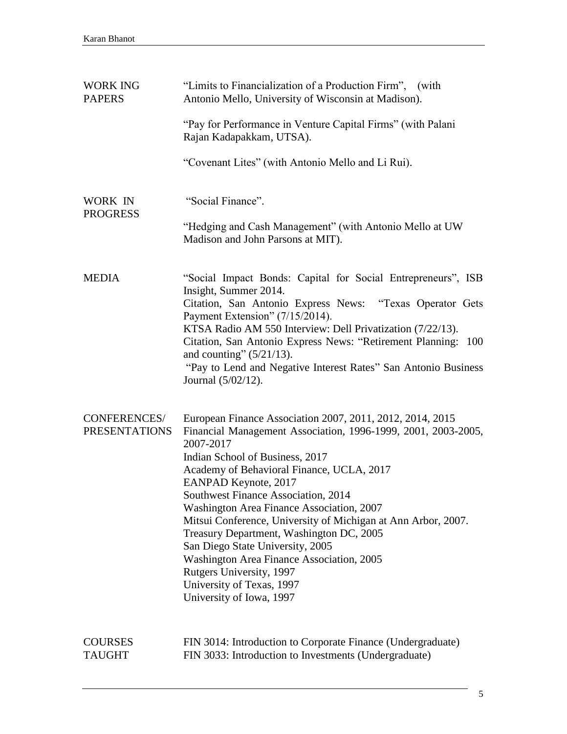| <b>WORK ING</b><br><b>PAPERS</b>     | "Limits to Financialization of a Production Firm", (with<br>Antonio Mello, University of Wisconsin at Madison).<br>"Pay for Performance in Venture Capital Firms" (with Palani<br>Rajan Kadapakkam, UTSA).<br>"Covenant Lites" (with Antonio Mello and Li Rui).                                                                                                                                                                                                                                                                                                                                                        |
|--------------------------------------|------------------------------------------------------------------------------------------------------------------------------------------------------------------------------------------------------------------------------------------------------------------------------------------------------------------------------------------------------------------------------------------------------------------------------------------------------------------------------------------------------------------------------------------------------------------------------------------------------------------------|
| WORK IN<br><b>PROGRESS</b>           | "Social Finance".<br>"Hedging and Cash Management" (with Antonio Mello at UW<br>Madison and John Parsons at MIT).                                                                                                                                                                                                                                                                                                                                                                                                                                                                                                      |
| <b>MEDIA</b>                         | "Social Impact Bonds: Capital for Social Entrepreneurs", ISB<br>Insight, Summer 2014.<br>Citation, San Antonio Express News: "Texas Operator Gets<br>Payment Extension" (7/15/2014).<br>KTSA Radio AM 550 Interview: Dell Privatization (7/22/13).<br>Citation, San Antonio Express News: "Retirement Planning: 100<br>and counting" $(5/21/13)$ .<br>"Pay to Lend and Negative Interest Rates" San Antonio Business<br>Journal (5/02/12).                                                                                                                                                                             |
| CONFERENCES/<br><b>PRESENTATIONS</b> | European Finance Association 2007, 2011, 2012, 2014, 2015<br>Financial Management Association, 1996-1999, 2001, 2003-2005,<br>2007-2017<br>Indian School of Business, 2017<br>Academy of Behavioral Finance, UCLA, 2017<br>EANPAD Keynote, 2017<br>Southwest Finance Association, 2014<br>Washington Area Finance Association, 2007<br>Mitsui Conference, University of Michigan at Ann Arbor, 2007.<br>Treasury Department, Washington DC, 2005<br>San Diego State University, 2005<br>Washington Area Finance Association, 2005<br>Rutgers University, 1997<br>University of Texas, 1997<br>University of Iowa, 1997 |
| <b>COURSES</b><br><b>TAUGHT</b>      | FIN 3014: Introduction to Corporate Finance (Undergraduate)<br>FIN 3033: Introduction to Investments (Undergraduate)                                                                                                                                                                                                                                                                                                                                                                                                                                                                                                   |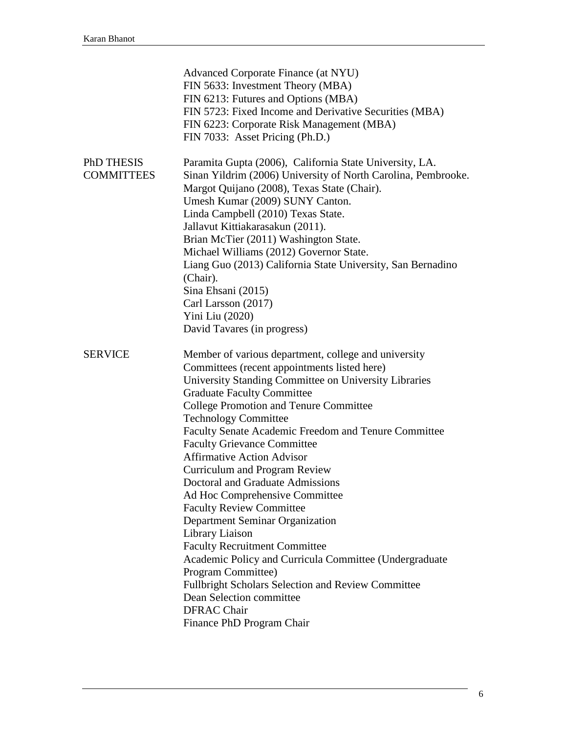|                                 | Advanced Corporate Finance (at NYU)<br>FIN 5633: Investment Theory (MBA)<br>FIN 6213: Futures and Options (MBA)<br>FIN 5723: Fixed Income and Derivative Securities (MBA)<br>FIN 6223: Corporate Risk Management (MBA)<br>FIN 7033: Asset Pricing (Ph.D.)                                                                                                                                                                                                                                                                                                                                                                                                                                                                                                                                                                                                                                 |
|---------------------------------|-------------------------------------------------------------------------------------------------------------------------------------------------------------------------------------------------------------------------------------------------------------------------------------------------------------------------------------------------------------------------------------------------------------------------------------------------------------------------------------------------------------------------------------------------------------------------------------------------------------------------------------------------------------------------------------------------------------------------------------------------------------------------------------------------------------------------------------------------------------------------------------------|
| PhD THESIS<br><b>COMMITTEES</b> | Paramita Gupta (2006), California State University, LA.<br>Sinan Yildrim (2006) University of North Carolina, Pembrooke.<br>Margot Quijano (2008), Texas State (Chair).<br>Umesh Kumar (2009) SUNY Canton.<br>Linda Campbell (2010) Texas State.<br>Jallavut Kittiakarasakun (2011).<br>Brian McTier (2011) Washington State.<br>Michael Williams (2012) Governor State.<br>Liang Guo (2013) California State University, San Bernadino<br>(Chair).<br>Sina Ehsani (2015)<br>Carl Larsson (2017)<br>Yini Liu (2020)<br>David Tavares (in progress)                                                                                                                                                                                                                                                                                                                                        |
| <b>SERVICE</b>                  | Member of various department, college and university<br>Committees (recent appointments listed here)<br>University Standing Committee on University Libraries<br><b>Graduate Faculty Committee</b><br><b>College Promotion and Tenure Committee</b><br><b>Technology Committee</b><br>Faculty Senate Academic Freedom and Tenure Committee<br><b>Faculty Grievance Committee</b><br><b>Affirmative Action Advisor</b><br><b>Curriculum and Program Review</b><br>Doctoral and Graduate Admissions<br>Ad Hoc Comprehensive Committee<br><b>Faculty Review Committee</b><br>Department Seminar Organization<br>Library Liaison<br><b>Faculty Recruitment Committee</b><br>Academic Policy and Curricula Committee (Undergraduate<br>Program Committee)<br>Fullbright Scholars Selection and Review Committee<br>Dean Selection committee<br><b>DFRAC Chair</b><br>Finance PhD Program Chair |